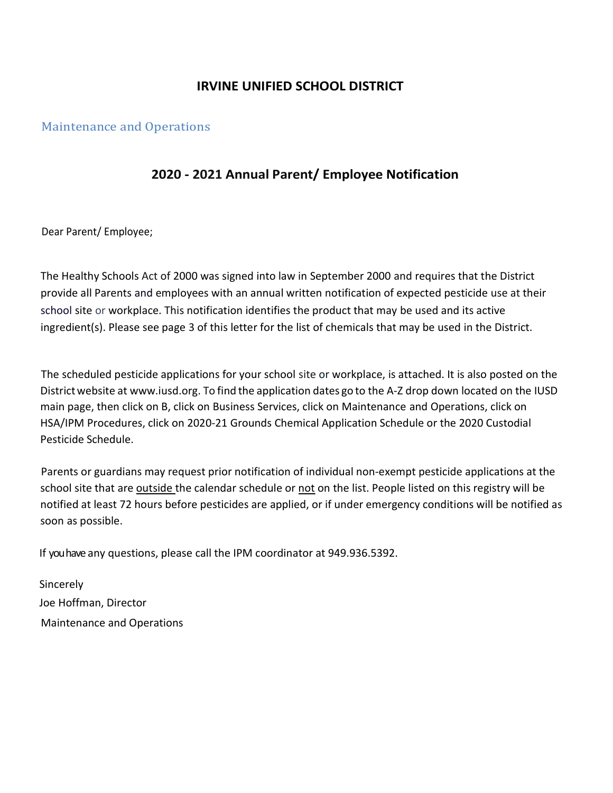## IRVINE UNIFIED SCHOOL DISTRICT

#### Maintenance and Operations

## 2020 - 2021 Annual Parent/ Employee Notification

Dear Parent/ Employee;

The Healthy Schools Act of 2000 was signed into law in September 2000 and requires that the District provide all Parents and employees with an annual written notification of expected pesticide use at their school site or workplace. This notification identifies the product that may be used and its active ingredient(s). Please see page 3 of this letter for the list of chemicals that may be used in the District.

The scheduled pesticide applications for your school site or workplace, is attached. It is also posted on the District website at www.iusd.org. To find the application dates go to the A-Z drop down located on the IUSD main page, then click on B, click on Business Services, click on Maintenance and Operations, click on HSA/IPM Procedures, click on 2020-21 Grounds Chemical Application Schedule or the 2020 Custodial Pesticide Schedule.

Parents or guardians may request prior notification of individual non-exempt pesticide applications at the school site that are outside the calendar schedule or not on the list. People listed on this registry will be notified at least 72 hours before pesticides are applied, or if under emergency conditions will be notified as soon as possible.

If you have any questions, please call the IPM coordinator at 949.936.5392.

Sincerely Joe Hoffman, Director Maintenance and Operations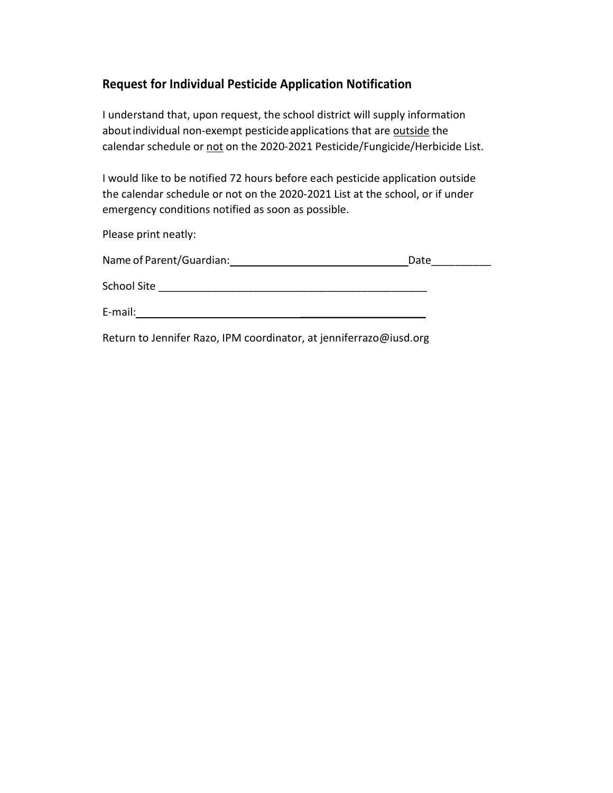## Request for Individual Pesticide Application Notification

I understand that, upon request, the school district will supply information about individual non-exempt pesticide applications that are outside the calendar schedule or not on the 2020-2021 Pesticide/Fungicide/Herbicide List.

I would like to be notified 72 hours before each pesticide application outside the calendar schedule or not on the 2020-2021 List at the school, or if under emergency conditions notified as soon as possible.

Please print neatly:

| Name of Parent/Guardian: | Date |
|--------------------------|------|
| School Site              |      |
| E-mail:                  |      |

Return to Jennifer Razo, IPM coordinator, at jenniferrazo@iusd.org